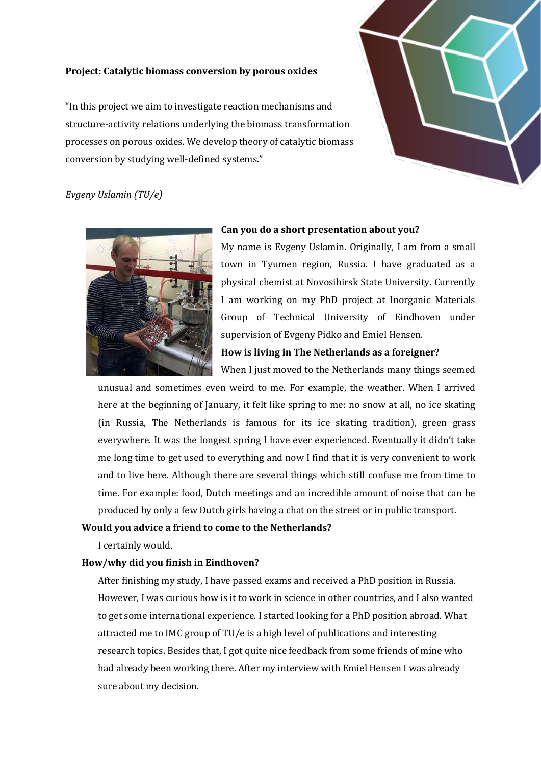## **Project: Catalytic biomass conversion by porous oxides**

"In this project we aim to investigate reaction mechanisms and structure-activity relations underlying the biomass transformation processes on porous oxides. We develop theory of catalytic biomass conversion by studying well-defined systems."



# *Evgeny Uslamin (TU/e)*



#### **Can you do a short presentation about you?**

My name is Evgeny Uslamin. Originally, I am from a small town in Tyumen region, Russia. I have graduated as a physical chemist at Novosibirsk State University. Currently I am working on my PhD project at Inorganic Materials Group of Technical University of Eindhoven under supervision of Evgeny Pidko and Emiel Hensen.

## **How is living in The Netherlands as a foreigner?**

When I just moved to the Netherlands many things seemed unusual and sometimes even weird to me. For example, the weather. When I arrived here at the beginning of January, it felt like spring to me: no snow at all, no ice skating (in Russia, The Netherlands is famous for its ice skating tradition), green grass everywhere. It was the longest spring I have ever experienced. Eventually it didn't take me long time to get used to everything and now I find that it is very convenient to work and to live here. Although there are several things which still confuse me from time to time. For example: food, Dutch meetings and an incredible amount of noise that can be produced by only a few Dutch girls having a chat on the street or in public transport.

#### **Would you advice a friend to come to the Netherlands?**

I certainly would.

## **How/why did you finish in Eindhoven?**

After finishing my study, I have passed exams and received a PhD position in Russia. However, I was curious how is it to work in science in other countries, and I also wanted to get some international experience. I started looking for a PhD position abroad. What attracted me to IMC group of TU/e is a high level of publications and interesting research topics. Besides that, I got quite nice feedback from some friends of mine who had already been working there. After my interview with Emiel Hensen I was already sure about my decision.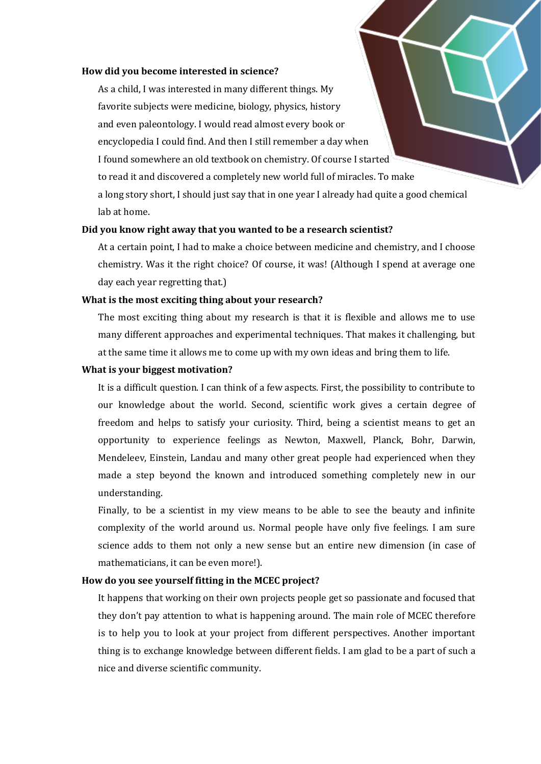#### **How did you become interested in science?**

As a child, I was interested in many different things. My favorite subjects were medicine, biology, physics, history and even paleontology. I would read almost every book or encyclopedia I could find. And then I still remember a day when I found somewhere an old textbook on chemistry. Of course I started to read it and discovered a completely new world full of miracles. To make a long story short, I should just say that in one year I already had quite a good chemical lab at home.

### **Did you know right away that you wanted to be a research scientist?**

At a certain point, I had to make a choice between medicine and chemistry, and I choose chemistry. Was it the right choice? Of course, it was! (Although I spend at average one day each year regretting that.)

### **What is the most exciting thing about your research?**

The most exciting thing about my research is that it is flexible and allows me to use many different approaches and experimental techniques. That makes it challenging, but at the same time it allows me to come up with my own ideas and bring them to life.

### **What is your biggest motivation?**

It is a difficult question. I can think of a few aspects. First, the possibility to contribute to our knowledge about the world. Second, scientific work gives a certain degree of freedom and helps to satisfy your curiosity. Third, being a scientist means to get an opportunity to experience feelings as Newton, Maxwell, Planck, Bohr, Darwin, Mendeleev, Einstein, Landau and many other great people had experienced when they made a step beyond the known and introduced something completely new in our understanding.

Finally, to be a scientist in my view means to be able to see the beauty and infinite complexity of the world around us. Normal people have only five feelings. I am sure science adds to them not only a new sense but an entire new dimension (in case of mathematicians, it can be even more!).

## **How do you see yourself fitting in the MCEC project?**

It happens that working on their own projects people get so passionate and focused that they don't pay attention to what is happening around. The main role of MCEC therefore is to help you to look at your project from different perspectives. Another important thing is to exchange knowledge between different fields. I am glad to be a part of such a nice and diverse scientific community.